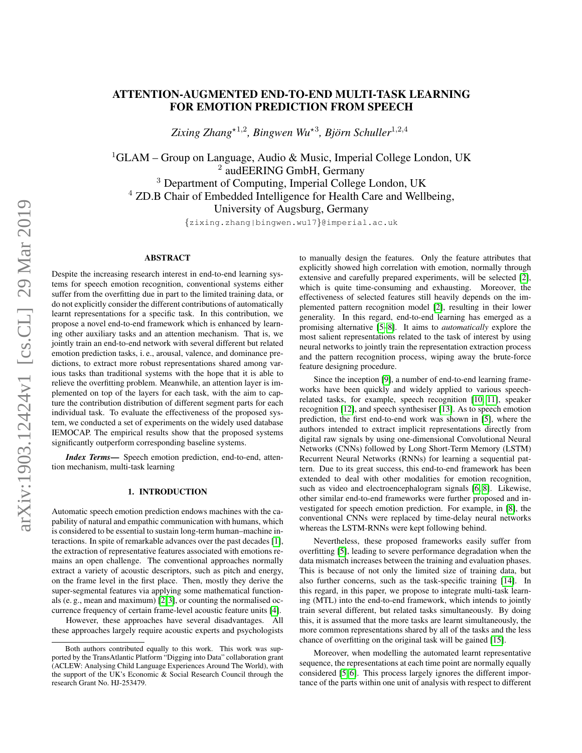# ATTENTION-AUGMENTED END-TO-END MULTI-TASK LEARNING FOR EMOTION PREDICTION FROM SPEECH

Zixing Zhang<sup>\*1,2</sup>, Bingwen Wu<sup>\*3</sup>, Björn Schuller<sup>1,2,4</sup>

<sup>1</sup>GLAM – Group on Language, Audio & Music, Imperial College London, UK <sup>2</sup> audEERING GmbH, Germany <sup>3</sup> Department of Computing, Imperial College London, UK <sup>4</sup> ZD.B Chair of Embedded Intelligence for Health Care and Wellbeing, University of Augsburg, Germany

{zixing.zhang|bingwen.wu17}@imperial.ac.uk

## ABSTRACT

Despite the increasing research interest in end-to-end learning systems for speech emotion recognition, conventional systems either suffer from the overfitting due in part to the limited training data, or do not explicitly consider the different contributions of automatically learnt representations for a specific task. In this contribution, we propose a novel end-to-end framework which is enhanced by learning other auxiliary tasks and an attention mechanism. That is, we jointly train an end-to-end network with several different but related emotion prediction tasks, i. e., arousal, valence, and dominance predictions, to extract more robust representations shared among various tasks than traditional systems with the hope that it is able to relieve the overfitting problem. Meanwhile, an attention layer is implemented on top of the layers for each task, with the aim to capture the contribution distribution of different segment parts for each individual task. To evaluate the effectiveness of the proposed system, we conducted a set of experiments on the widely used database IEMOCAP. The empirical results show that the proposed systems significantly outperform corresponding baseline systems.

*Index Terms*— Speech emotion prediction, end-to-end, attention mechanism, multi-task learning

## 1. INTRODUCTION

<span id="page-0-0"></span>Automatic speech emotion prediction endows machines with the capability of natural and empathic communication with humans, which is considered to be essential to sustain long-term human–machine interactions. In spite of remarkable advances over the past decades [\[1\]](#page-4-0), the extraction of representative features associated with emotions remains an open challenge. The conventional approaches normally extract a variety of acoustic descriptors, such as pitch and energy, on the frame level in the first place. Then, mostly they derive the super-segmental features via applying some mathematical functionals (e. g., mean and maximum) [\[2,](#page-4-1) [3\]](#page-4-2), or counting the normalised occurrence frequency of certain frame-level acoustic feature units [\[4\]](#page-4-3).

However, these approaches have several disadvantages. All these approaches largely require acoustic experts and psychologists to manually design the features. Only the feature attributes that explicitly showed high correlation with emotion, normally through extensive and carefully prepared experiments, will be selected [\[2\]](#page-4-1), which is quite time-consuming and exhausting. Moreover, the effectiveness of selected features still heavily depends on the implemented pattern recognition model [\[2\]](#page-4-1), resulting in their lower generality. In this regard, end-to-end learning has emerged as a promising alternative [\[5–](#page-4-4)[8\]](#page-4-5). It aims to *automatically* explore the most salient representations related to the task of interest by using neural networks to jointly train the representation extraction process and the pattern recognition process, wiping away the brute-force feature designing procedure.

Since the inception [\[9\]](#page-4-6), a number of end-to-end learning frameworks have been quickly and widely applied to various speechrelated tasks, for example, speech recognition [\[10,](#page-4-7) [11\]](#page-4-8), speaker recognition [\[12\]](#page-4-9), and speech synthesiser [\[13\]](#page-4-10). As to speech emotion prediction, the first end-to-end work was shown in [\[5\]](#page-4-4), where the authors intended to extract implicit representations directly from digital raw signals by using one-dimensional Convolutional Neural Networks (CNNs) followed by Long Short-Term Memory (LSTM) Recurrent Neural Networks (RNNs) for learning a sequential pattern. Due to its great success, this end-to-end framework has been extended to deal with other modalities for emotion recognition, such as video and electroencephalogram signals [\[6,](#page-4-11) [8\]](#page-4-5). Likewise, other similar end-to-end frameworks were further proposed and investigated for speech emotion prediction. For example, in [\[8\]](#page-4-5), the conventional CNNs were replaced by time-delay neural networks whereas the LSTM-RNNs were kept following behind.

Nevertheless, these proposed frameworks easily suffer from overfitting [\[5\]](#page-4-4), leading to severe performance degradation when the data mismatch increases between the training and evaluation phases. This is because of not only the limited size of training data, but also further concerns, such as the task-specific training [\[14\]](#page-4-12). In this regard, in this paper, we propose to integrate multi-task learning (MTL) into the end-to-end framework, which intends to jointly train several different, but related tasks simultaneously. By doing this, it is assumed that the more tasks are learnt simultaneously, the more common representations shared by all of the tasks and the less chance of overfitting on the original task will be gained [\[15\]](#page-4-13).

Moreover, when modelling the automated learnt representative sequence, the representations at each time point are normally equally considered [\[5,](#page-4-4) [6\]](#page-4-11). This process largely ignores the different importance of the parts within one unit of analysis with respect to different

Both authors contributed equally to this work. This work was supported by the TransAtlantic Platform "Digging into Data" collaboration grant (ACLEW: Analysing Child Language Experiences Around The World), with the support of the UK's Economic & Social Research Council through the research Grant No. HJ-253479.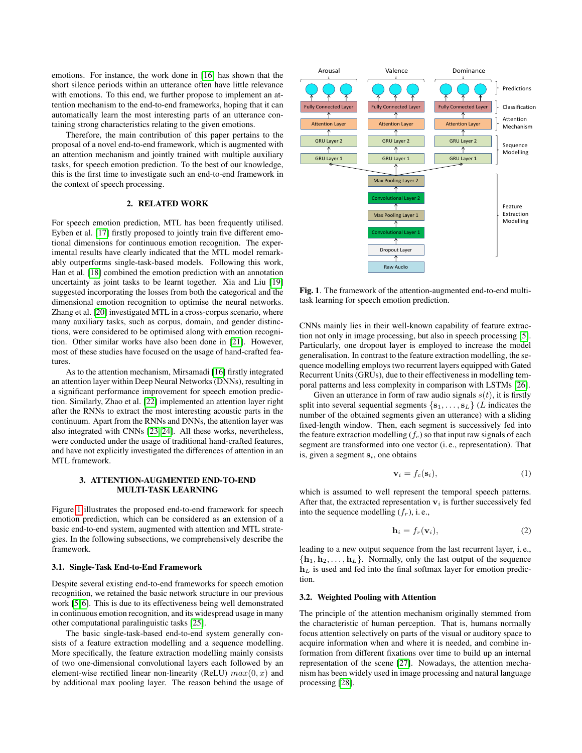emotions. For instance, the work done in [\[16\]](#page-4-14) has shown that the short silence periods within an utterance often have little relevance with emotions. To this end, we further propose to implement an attention mechanism to the end-to-end frameworks, hoping that it can automatically learn the most interesting parts of an utterance containing strong characteristics relating to the given emotions.

Therefore, the main contribution of this paper pertains to the proposal of a novel end-to-end framework, which is augmented with an attention mechanism and jointly trained with multiple auxiliary tasks, for speech emotion prediction. To the best of our knowledge, this is the first time to investigate such an end-to-end framework in the context of speech processing.

# 2. RELATED WORK

For speech emotion prediction, MTL has been frequently utilised. Eyben et al. [\[17\]](#page-4-15) firstly proposed to jointly train five different emotional dimensions for continuous emotion recognition. The experimental results have clearly indicated that the MTL model remarkably outperforms single-task-based models. Following this work, Han et al. [\[18\]](#page-4-16) combined the emotion prediction with an annotation uncertainty as joint tasks to be learnt together. Xia and Liu [\[19\]](#page-4-17) suggested incorporating the losses from both the categorical and the dimensional emotion recognition to optimise the neural networks. Zhang et al. [\[20\]](#page-4-18) investigated MTL in a cross-corpus scenario, where many auxiliary tasks, such as corpus, domain, and gender distinctions, were considered to be optimised along with emotion recognition. Other similar works have also been done in [\[21\]](#page-4-19). However, most of these studies have focused on the usage of hand-crafted features.

As to the attention mechanism, Mirsamadi [\[16\]](#page-4-14) firstly integrated an attention layer within Deep Neural Networks (DNNs), resulting in a significant performance improvement for speech emotion prediction. Similarly, Zhao et al. [\[22\]](#page-4-20) implemented an attention layer right after the RNNs to extract the most interesting acoustic parts in the continuum. Apart from the RNNs and DNNs, the attention layer was also integrated with CNNs [\[23,](#page-4-21) [24\]](#page-4-22). All these works, nevertheless, were conducted under the usage of traditional hand-crafted features, and have not explicitly investigated the differences of attention in an MTL framework.

# 3. ATTENTION-AUGMENTED END-TO-END MULTI-TASK LEARNING

Figure [1](#page-1-0) illustrates the proposed end-to-end framework for speech emotion prediction, which can be considered as an extension of a basic end-to-end system, augmented with attention and MTL strategies. In the following subsections, we comprehensively describe the framework.

#### <span id="page-1-1"></span>3.1. Single-Task End-to-End Framework

Despite several existing end-to-end frameworks for speech emotion recognition, we retained the basic network structure in our previous work [\[5,](#page-4-4) [6\]](#page-4-11). This is due to its effectiveness being well demonstrated in continuous emotion recognition, and its widespread usage in many other computational paralinguistic tasks [\[25\]](#page-4-23).

The basic single-task-based end-to-end system generally consists of a feature extraction modelling and a sequence modelling. More specifically, the feature extraction modelling mainly consists of two one-dimensional convolutional layers each followed by an element-wise rectified linear non-linearity (ReLU)  $max(0, x)$  and by additional max pooling layer. The reason behind the usage of



<span id="page-1-0"></span>Fig. 1. The framework of the attention-augmented end-to-end multitask learning for speech emotion prediction.

CNNs mainly lies in their well-known capability of feature extraction not only in image processing, but also in speech processing [\[5\]](#page-4-4). Particularly, one dropout layer is employed to increase the model generalisation. In contrast to the feature extraction modelling, the sequence modelling employs two recurrent layers equipped with Gated Recurrent Units (GRUs), due to their effectiveness in modelling temporal patterns and less complexity in comparison with LSTMs [\[26\]](#page-4-24).

Given an utterance in form of raw audio signals  $s(t)$ , it is firstly split into several sequential segments  $\{s_1, \ldots, s_L\}$  (L indicates the number of the obtained segments given an utterance) with a sliding fixed-length window. Then, each segment is successively fed into the feature extraction modelling  $(f_c)$  so that input raw signals of each segment are transformed into one vector (i. e., representation). That is, given a segment  $s_i$ , one obtains

$$
\mathbf{v}_i = f_c(\mathbf{s}_i),\tag{1}
$$

which is assumed to well represent the temporal speech patterns. After that, the extracted representation  $v_i$  is further successively fed into the sequence modelling  $(f_r)$ , i.e.,

$$
\mathbf{h}_i = f_r(\mathbf{v}_i),\tag{2}
$$

leading to a new output sequence from the last recurrent layer, i. e.,  ${\bf h}_1, {\bf h}_2, \ldots, {\bf h}_L$ . Normally, only the last output of the sequence  $h<sub>L</sub>$  is used and fed into the final softmax layer for emotion prediction.

#### 3.2. Weighted Pooling with Attention

The principle of the attention mechanism originally stemmed from the characteristic of human perception. That is, humans normally focus attention selectively on parts of the visual or auditory space to acquire information when and where it is needed, and combine information from different fixations over time to build up an internal representation of the scene [\[27\]](#page-4-25). Nowadays, the attention mechanism has been widely used in image processing and natural language processing [\[28\]](#page-4-26).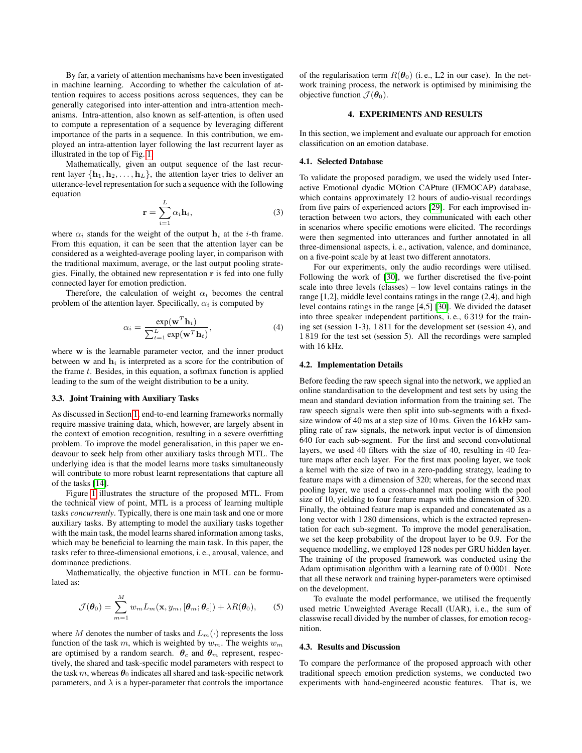By far, a variety of attention mechanisms have been investigated in machine learning. According to whether the calculation of attention requires to access positions across sequences, they can be generally categorised into inter-attention and intra-attention mechanisms. Intra-attention, also known as self-attention, is often used to compute a representation of a sequence by leveraging different importance of the parts in a sequence. In this contribution, we employed an intra-attention layer following the last recurrent layer as illustrated in the top of Fig. [1.](#page-1-0)

Mathematically, given an output sequence of the last recurrent layer  $\{h_1, h_2, \ldots, h_L\}$ , the attention layer tries to deliver an utterance-level representation for such a sequence with the following equation

$$
\mathbf{r} = \sum_{i=1}^{L} \alpha_i \mathbf{h}_i, \tag{3}
$$

where  $\alpha_i$  stands for the weight of the output  $h_i$  at the *i*-th frame. From this equation, it can be seen that the attention layer can be considered as a weighted-average pooling layer, in comparison with the traditional maximum, average, or the last output pooling strategies. Finally, the obtained new representation r is fed into one fully connected layer for emotion prediction.

Therefore, the calculation of weight  $\alpha_i$  becomes the central problem of the attention layer. Specifically,  $\alpha_i$  is computed by

$$
\alpha_i = \frac{\exp(\mathbf{w}^T \mathbf{h}_i)}{\sum_{t=1}^L \exp(\mathbf{w}^T \mathbf{h}_t)},
$$
\n(4)

where w is the learnable parameter vector, and the inner product between w and  $h_i$  is interpreted as a score for the contribution of the frame  $t$ . Besides, in this equation, a softmax function is applied leading to the sum of the weight distribution to be a unity.

#### 3.3. Joint Training with Auxiliary Tasks

As discussed in Section [1,](#page-0-0) end-to-end learning frameworks normally require massive training data, which, however, are largely absent in the context of emotion recognition, resulting in a severe overfitting problem. To improve the model generalisation, in this paper we endeavour to seek help from other auxiliary tasks through MTL. The underlying idea is that the model learns more tasks simultaneously will contribute to more robust learnt representations that capture all of the tasks [\[14\]](#page-4-12).

Figure [1](#page-1-0) illustrates the structure of the proposed MTL. From the technical view of point, MTL is a process of learning multiple tasks *concurrently*. Typically, there is one main task and one or more auxiliary tasks. By attempting to model the auxiliary tasks together with the main task, the model learns shared information among tasks, which may be beneficial to learning the main task. In this paper, the tasks refer to three-dimensional emotions, i. e., arousal, valence, and dominance predictions.

Mathematically, the objective function in MTL can be formulated as:

$$
\mathcal{J}(\boldsymbol{\theta}_0) = \sum_{m=1}^{M} w_m L_m(\mathbf{x}, y_m, [\boldsymbol{\theta}_m; \boldsymbol{\theta}_c]) + \lambda R(\boldsymbol{\theta}_0),
$$
 (5)

where M denotes the number of tasks and  $L_m(\cdot)$  represents the loss function of the task m, which is weighted by  $w_m$ . The weights  $w_m$ are optimised by a random search.  $\theta_c$  and  $\theta_m$  represent, respectively, the shared and task-specific model parameters with respect to the task m, whereas  $\theta_0$  indicates all shared and task-specific network parameters, and  $\lambda$  is a hyper-parameter that controls the importance

of the regularisation term  $R(\theta_0)$  (i.e., L2 in our case). In the network training process, the network is optimised by minimising the objective function  $\mathcal{J}(\boldsymbol{\theta}_0)$ .

## 4. EXPERIMENTS AND RESULTS

In this section, we implement and evaluate our approach for emotion classification on an emotion database.

#### 4.1. Selected Database

To validate the proposed paradigm, we used the widely used Interactive Emotional dyadic MOtion CAPture (IEMOCAP) database, which contains approximately 12 hours of audio-visual recordings from five pairs of experienced actors [\[29\]](#page-4-27). For each improvised interaction between two actors, they communicated with each other in scenarios where specific emotions were elicited. The recordings were then segmented into utterances and further annotated in all three-dimensional aspects, i. e., activation, valence, and dominance, on a five-point scale by at least two different annotators.

For our experiments, only the audio recordings were utilised. Following the work of [\[30\]](#page-4-28), we further discretised the five-point scale into three levels (classes) – low level contains ratings in the range [1,2], middle level contains ratings in the range (2,4), and high level contains ratings in the range [4,5] [\[30\]](#page-4-28). We divided the dataset into three speaker independent partitions, i. e., 6 319 for the training set (session 1-3), 1 811 for the development set (session 4), and 1 819 for the test set (session 5). All the recordings were sampled with 16 kHz.

## 4.2. Implementation Details

Before feeding the raw speech signal into the network, we applied an online standardisation to the development and test sets by using the mean and standard deviation information from the training set. The raw speech signals were then split into sub-segments with a fixedsize window of 40 ms at a step size of 10 ms. Given the 16 kHz sampling rate of raw signals, the network input vector is of dimension 640 for each sub-segment. For the first and second convolutional layers, we used 40 filters with the size of 40, resulting in 40 feature maps after each layer. For the first max pooling layer, we took a kernel with the size of two in a zero-padding strategy, leading to feature maps with a dimension of 320; whereas, for the second max pooling layer, we used a cross-channel max pooling with the pool size of 10, yielding to four feature maps with the dimension of 320. Finally, the obtained feature map is expanded and concatenated as a long vector with 1 280 dimensions, which is the extracted representation for each sub-segment. To improve the model generalisation, we set the keep probability of the dropout layer to be 0.9. For the sequence modelling, we employed 128 nodes per GRU hidden layer. The training of the proposed framework was conducted using the Adam optimisation algorithm with a learning rate of 0.0001. Note that all these network and training hyper-parameters were optimised on the development.

To evaluate the model performance, we utilised the frequently used metric Unweighted Average Recall (UAR), i. e., the sum of classwise recall divided by the number of classes, for emotion recognition.

#### 4.3. Results and Discussion

To compare the performance of the proposed approach with other traditional speech emotion prediction systems, we conducted two experiments with hand-engineered acoustic features. That is, we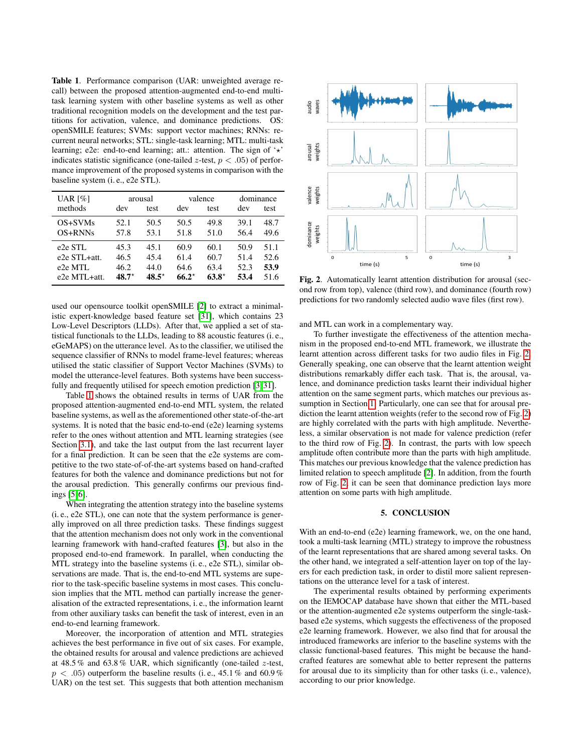<span id="page-3-0"></span>Table 1. Performance comparison (UAR: unweighted average recall) between the proposed attention-augmented end-to-end multitask learning system with other baseline systems as well as other traditional recognition models on the development and the test partitions for activation, valence, and dominance predictions. OS: openSMILE features; SVMs: support vector machines; RNNs: recurrent neural networks; STL: single-task learning; MTL: multi-task learning; e2e: end-to-end learning; att.: attention. The sign of  $\star$ indicates statistic significance (one-tailed z-test,  $p < .05$ ) of performance improvement of the proposed systems in comparison with the baseline system (i. e., e2e STL).

| UAR $[%]$           | arousal |          | valence |         | dominance |      |
|---------------------|---------|----------|---------|---------|-----------|------|
| methods             | dev     | test     | dev     | test    | dev       | test |
| OS+SVMs             | 52.1    | 50.5     | 50.5    | 49.8    | 39.1      | 48.7 |
| OS+RNNs             | 57.8    | 53.1     | 51.8    | 51.0    | 56.4      | 49.6 |
| e <sub>2e</sub> STL | 45.3    | 45.1     | 60.9    | 60.1    | 50.9      | 51.1 |
| e2e STL+att.        | 46.5    | 45.4     | 61.4    | 60.7    | 51.4      | 52.6 |
| e2e MTL             | 46.2    | 44.0     | 64.6    | 63.4    | 52.3      | 53.9 |
| e2e MTL+att.        | $48.7*$ | $48.5^*$ | $66.2*$ | $63.8*$ | 53.4      | 51.6 |

used our opensource toolkit openSMILE [\[2\]](#page-4-1) to extract a minimalistic expert-knowledge based feature set [\[31\]](#page-4-29), which contains 23 Low-Level Descriptors (LLDs). After that, we applied a set of statistical functionals to the LLDs, leading to 88 acoustic features (i. e., eGeMAPS) on the utterance level. As to the classifier, we utilised the sequence classifier of RNNs to model frame-level features; whereas utilised the static classifier of Support Vector Machines (SVMs) to model the utterance-level features. Both systems have been successfully and frequently utilised for speech emotion prediction [\[3,](#page-4-2) [31\]](#page-4-29).

Table [1](#page-3-0) shows the obtained results in terms of UAR from the proposed attention-augmented end-to-end MTL system, the related baseline systems, as well as the aforementioned other state-of-the-art systems. It is noted that the basic end-to-end (e2e) learning systems refer to the ones without attention and MTL learning strategies (see Section [3.1\)](#page-1-1), and take the last output from the last recurrent layer for a final prediction. It can be seen that the e2e systems are competitive to the two state-of-of-the-art systems based on hand-crafted features for both the valence and dominance predictions but not for the arousal prediction. This generally confirms our previous findings [\[5,](#page-4-4) [6\]](#page-4-11).

When integrating the attention strategy into the baseline systems (i. e., e2e STL), one can note that the system performance is generally improved on all three prediction tasks. These findings suggest that the attention mechanism does not only work in the conventional learning framework with hand-crafted features [\[3\]](#page-4-2), but also in the proposed end-to-end framework. In parallel, when conducting the MTL strategy into the baseline systems (i. e., e2e STL), similar observations are made. That is, the end-to-end MTL systems are superior to the task-specific baseline systems in most cases. This conclusion implies that the MTL method can partially increase the generalisation of the extracted representations, i. e., the information learnt from other auxiliary tasks can benefit the task of interest, even in an end-to-end learning framework.

Moreover, the incorporation of attention and MTL strategies achieves the best performance in five out of six cases. For example, the obtained results for arousal and valence predictions are achieved at 48.5 % and 63.8 % UAR, which significantly (one-tailed z-test,  $p < .05$ ) outperform the baseline results (i.e., 45.1 % and 60.9 % UAR) on the test set. This suggests that both attention mechanism



<span id="page-3-1"></span>Fig. 2. Automatically learnt attention distribution for arousal (second row from top), valence (third row), and dominance (fourth row) predictions for two randomly selected audio wave files (first row).

and MTL can work in a complementary way.

To further investigate the effectiveness of the attention mechanism in the proposed end-to-end MTL framework, we illustrate the learnt attention across different tasks for two audio files in Fig. [2.](#page-3-1) Generally speaking, one can observe that the learnt attention weight distributions remarkably differ each task. That is, the arousal, valence, and dominance prediction tasks learnt their individual higher attention on the same segment parts, which matches our previous assumption in Section [1.](#page-0-0) Particularly, one can see that for arousal prediction the learnt attention weights (refer to the second row of Fig. [2\)](#page-3-1) are highly correlated with the parts with high amplitude. Nevertheless, a similar observation is not made for valence prediction (refer to the third row of Fig. [2\)](#page-3-1). In contrast, the parts with low speech amplitude often contribute more than the parts with high amplitude. This matches our previous knowledge that the valence prediction has limited relation to speech amplitude [\[2\]](#page-4-1). In addition, from the fourth row of Fig. [2,](#page-3-1) it can be seen that dominance prediction lays more attention on some parts with high amplitude.

## 5. CONCLUSION

With an end-to-end (e2e) learning framework, we, on the one hand, took a multi-task learning (MTL) strategy to improve the robustness of the learnt representations that are shared among several tasks. On the other hand, we integrated a self-attention layer on top of the layers for each prediction task, in order to distil more salient representations on the utterance level for a task of interest.

The experimental results obtained by performing experiments on the IEMOCAP database have shown that either the MTL-based or the attention-augmented e2e systems outperform the single-taskbased e2e systems, which suggests the effectiveness of the proposed e2e learning framework. However, we also find that for arousal the introduced frameworks are inferior to the baseline systems with the classic functional-based features. This might be because the handcrafted features are somewhat able to better represent the patterns for arousal due to its simplicity than for other tasks (i. e., valence), according to our prior knowledge.